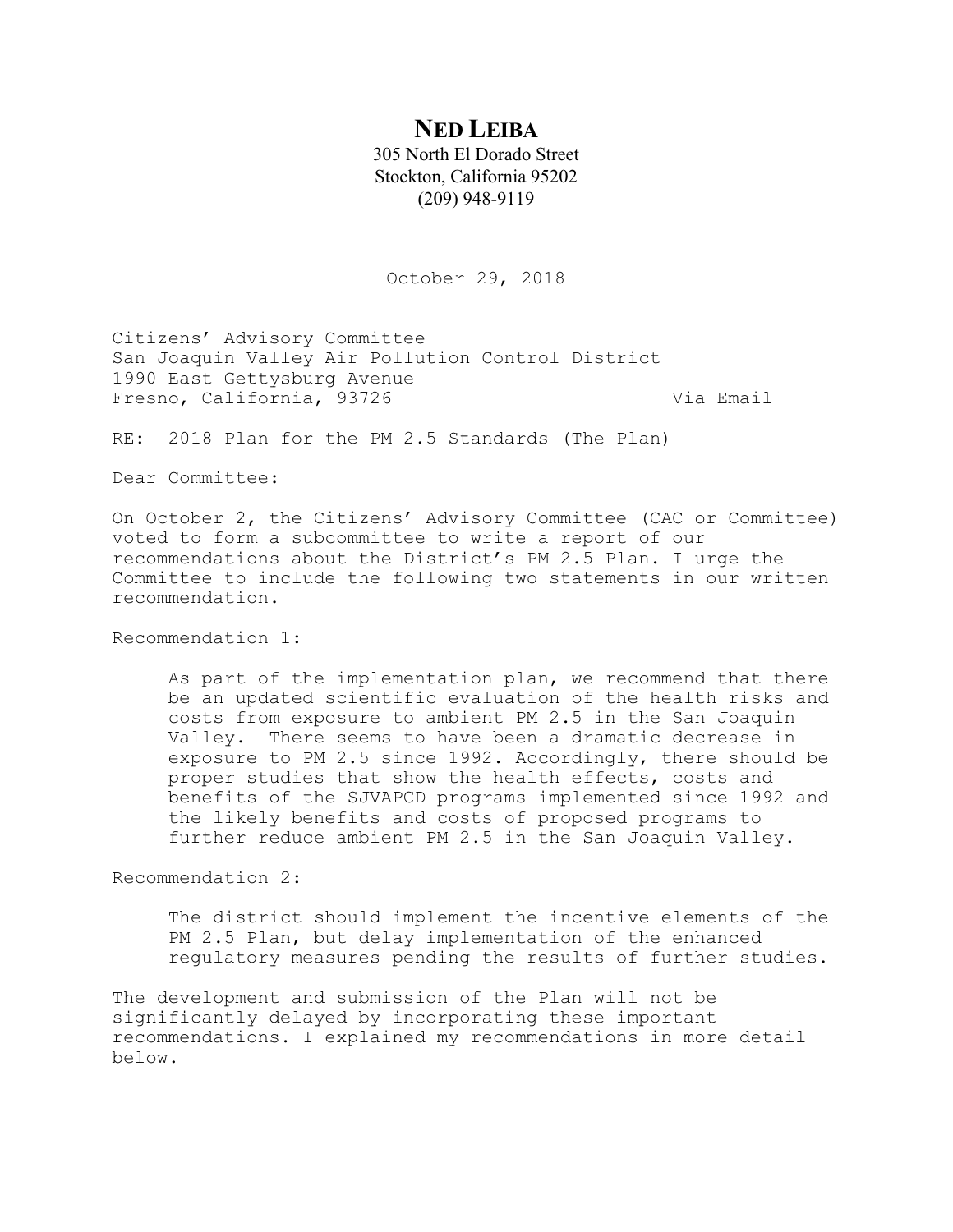# **NED LEIBA**

305 North El Dorado Street Stockton, California 95202 (209) 948-9119

October 29, 2018

Citizens' Advisory Committee San Joaquin Valley Air Pollution Control District 1990 East Gettysburg Avenue Fresno, California, 93726 Via Email

RE: 2018 Plan for the PM 2.5 Standards (The Plan)

Dear Committee:

On October 2, the Citizens' Advisory Committee (CAC or Committee) voted to form a subcommittee to write a report of our recommendations about the District's PM 2.5 Plan. I urge the Committee to include the following two statements in our written recommendation.

Recommendation 1:

As part of the implementation plan, we recommend that there be an updated scientific evaluation of the health risks and costs from exposure to ambient PM 2.5 in the San Joaquin Valley. There seems to have been a dramatic decrease in exposure to PM 2.5 since 1992. Accordingly, there should be proper studies that show the health effects, costs and benefits of the SJVAPCD programs implemented since 1992 and the likely benefits and costs of proposed programs to further reduce ambient PM 2.5 in the San Joaquin Valley.

Recommendation 2:

The district should implement the incentive elements of the PM 2.5 Plan, but delay implementation of the enhanced regulatory measures pending the results of further studies.

The development and submission of the Plan will not be significantly delayed by incorporating these important recommendations. I explained my recommendations in more detail below.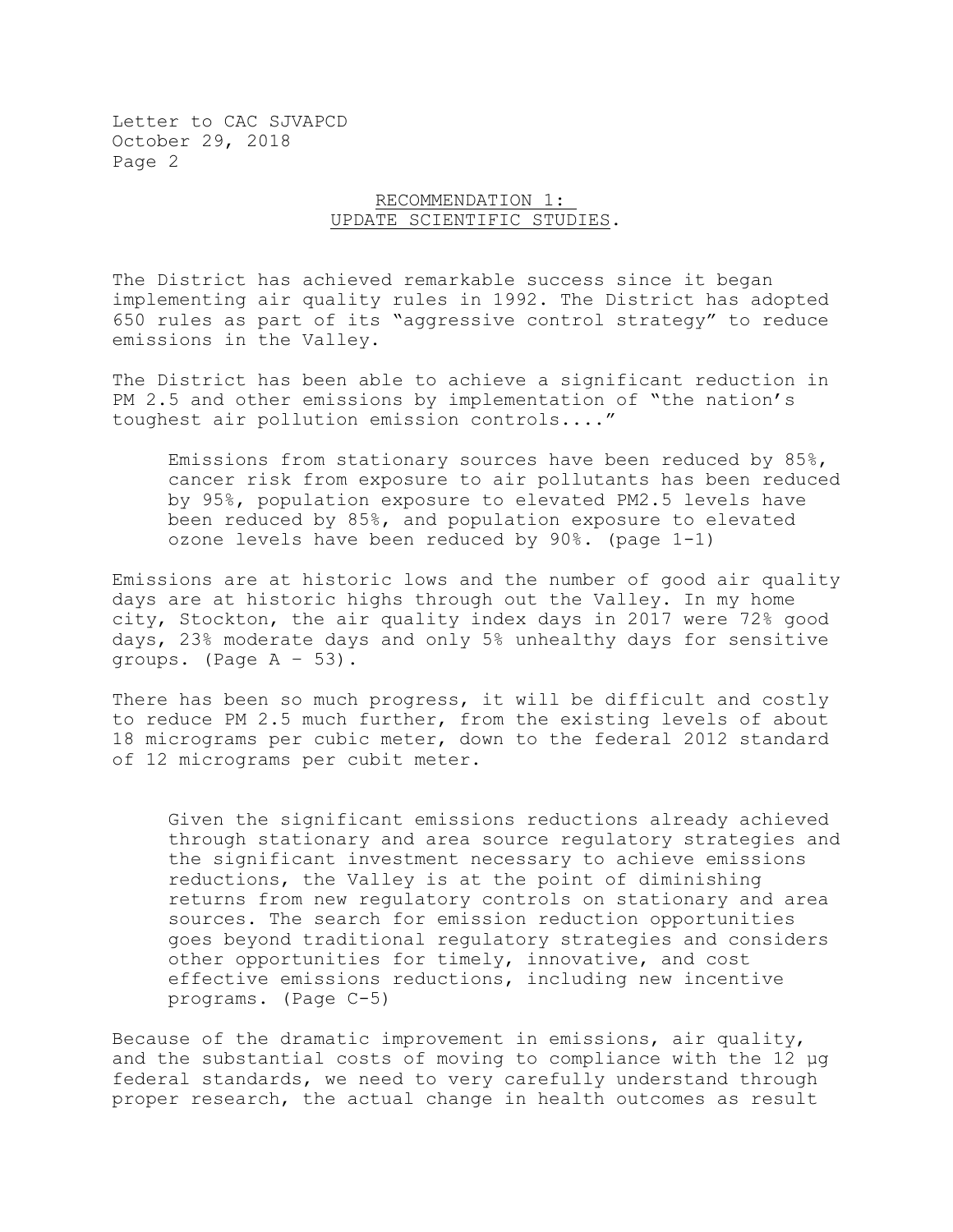#### RECOMMENDATION 1: UPDATE SCIENTIFIC STUDIES.

The District has achieved remarkable success since it began implementing air quality rules in 1992. The District has adopted 650 rules as part of its "aggressive control strategy" to reduce emissions in the Valley.

The District has been able to achieve a significant reduction in PM 2.5 and other emissions by implementation of "the nation's toughest air pollution emission controls...."

Emissions from stationary sources have been reduced by 85%, cancer risk from exposure to air pollutants has been reduced by 95%, population exposure to elevated PM2.5 levels have been reduced by 85%, and population exposure to elevated ozone levels have been reduced by 90%. (page 1-1)

Emissions are at historic lows and the number of good air quality days are at historic highs through out the Valley. In my home city, Stockton, the air quality index days in 2017 were 72% good days, 23% moderate days and only 5% unhealthy days for sensitive groups. (Page A – 53).

There has been so much progress, it will be difficult and costly to reduce PM 2.5 much further, from the existing levels of about 18 micrograms per cubic meter, down to the federal 2012 standard of 12 micrograms per cubit meter.

Given the significant emissions reductions already achieved through stationary and area source regulatory strategies and the significant investment necessary to achieve emissions reductions, the Valley is at the point of diminishing returns from new regulatory controls on stationary and area sources. The search for emission reduction opportunities goes beyond traditional regulatory strategies and considers other opportunities for timely, innovative, and cost effective emissions reductions, including new incentive programs. (Page C-5)

Because of the dramatic improvement in emissions, air quality, and the substantial costs of moving to compliance with the 12 µg federal standards, we need to very carefully understand through proper research, the actual change in health outcomes as result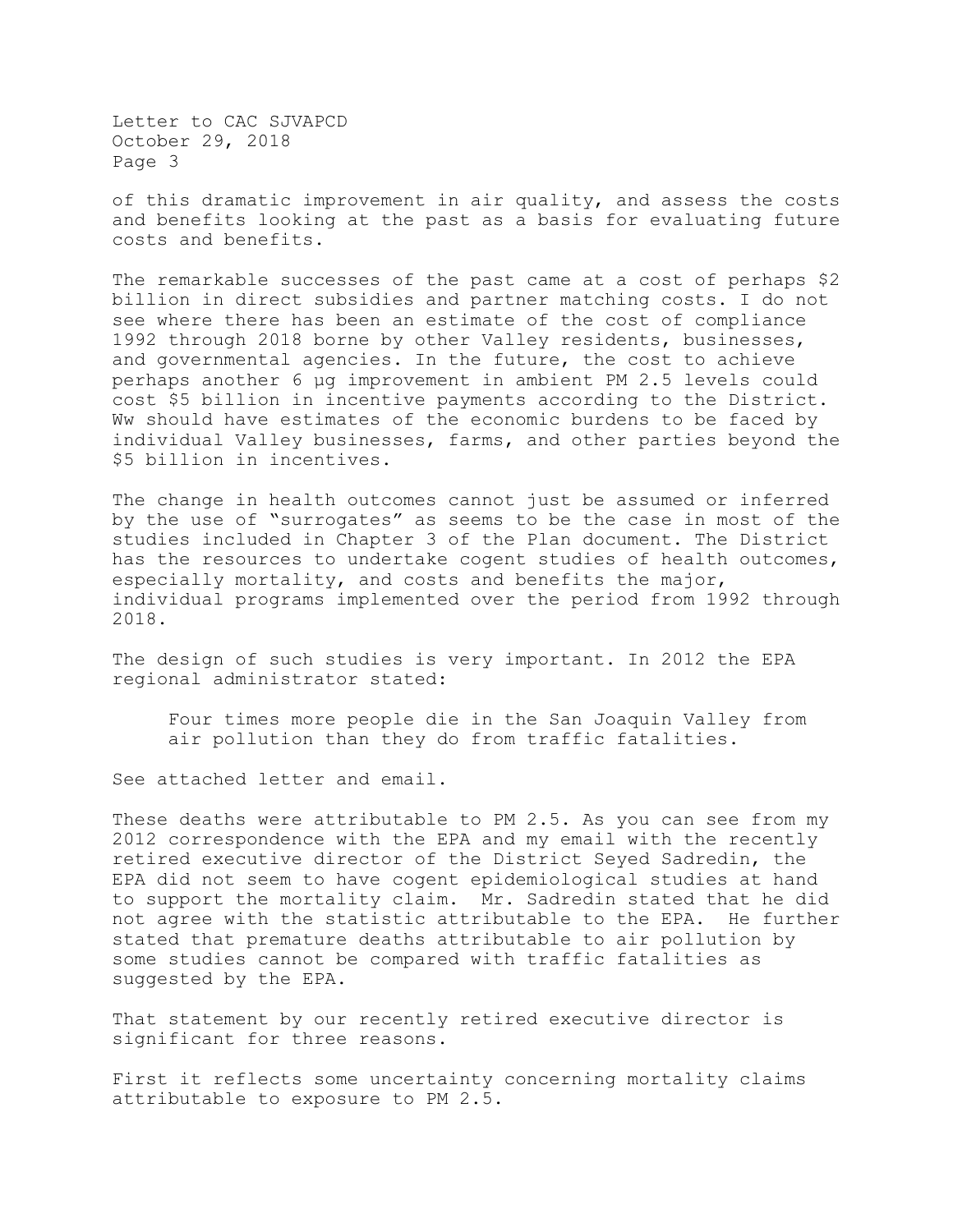of this dramatic improvement in air quality, and assess the costs and benefits looking at the past as a basis for evaluating future costs and benefits.

The remarkable successes of the past came at a cost of perhaps \$2 billion in direct subsidies and partner matching costs. I do not see where there has been an estimate of the cost of compliance 1992 through 2018 borne by other Valley residents, businesses, and governmental agencies. In the future, the cost to achieve perhaps another 6 µg improvement in ambient PM 2.5 levels could cost \$5 billion in incentive payments according to the District. Ww should have estimates of the economic burdens to be faced by individual Valley businesses, farms, and other parties beyond the \$5 billion in incentives.

The change in health outcomes cannot just be assumed or inferred by the use of "surrogates" as seems to be the case in most of the studies included in Chapter 3 of the Plan document. The District has the resources to undertake cogent studies of health outcomes, especially mortality, and costs and benefits the major, individual programs implemented over the period from 1992 through 2018.

The design of such studies is very important. In 2012 the EPA regional administrator stated:

Four times more people die in the San Joaquin Valley from air pollution than they do from traffic fatalities.

See attached letter and email.

These deaths were attributable to PM 2.5. As you can see from my 2012 correspondence with the EPA and my email with the recently retired executive director of the District Seyed Sadredin, the EPA did not seem to have cogent epidemiological studies at hand to support the mortality claim. Mr. Sadredin stated that he did not agree with the statistic attributable to the EPA. He further stated that premature deaths attributable to air pollution by some studies cannot be compared with traffic fatalities as suggested by the EPA.

That statement by our recently retired executive director is significant for three reasons.

First it reflects some uncertainty concerning mortality claims attributable to exposure to PM 2.5.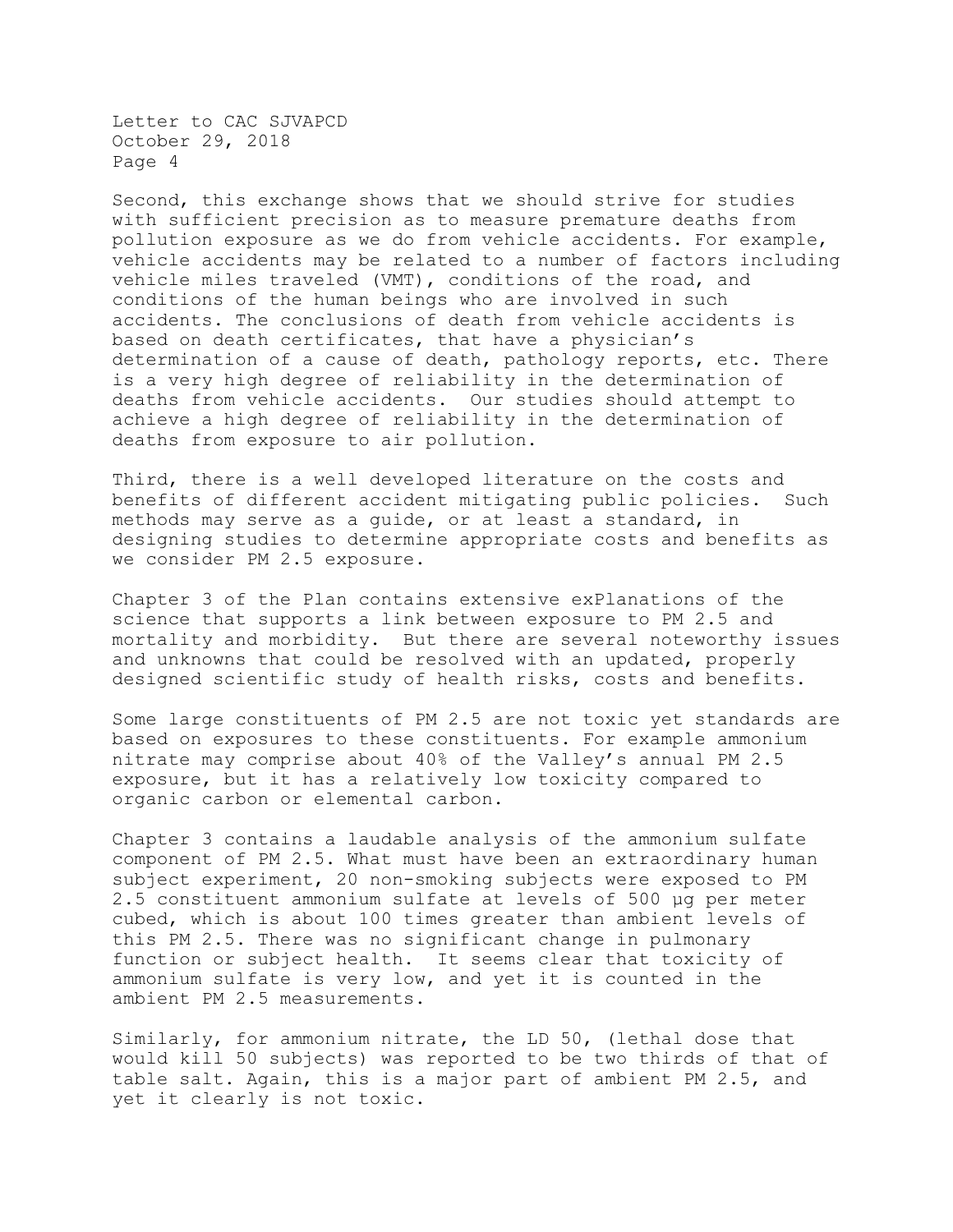Second, this exchange shows that we should strive for studies with sufficient precision as to measure premature deaths from pollution exposure as we do from vehicle accidents. For example, vehicle accidents may be related to a number of factors including vehicle miles traveled (VMT), conditions of the road, and conditions of the human beings who are involved in such accidents. The conclusions of death from vehicle accidents is based on death certificates, that have a physician's determination of a cause of death, pathology reports, etc. There is a very high degree of reliability in the determination of deaths from vehicle accidents. Our studies should attempt to achieve a high degree of reliability in the determination of deaths from exposure to air pollution.

Third, there is a well developed literature on the costs and benefits of different accident mitigating public policies. Such methods may serve as a guide, or at least a standard, in designing studies to determine appropriate costs and benefits as we consider PM 2.5 exposure.

Chapter 3 of the Plan contains extensive exPlanations of the science that supports a link between exposure to PM 2.5 and mortality and morbidity. But there are several noteworthy issues and unknowns that could be resolved with an updated, properly designed scientific study of health risks, costs and benefits.

Some large constituents of PM 2.5 are not toxic yet standards are based on exposures to these constituents. For example ammonium nitrate may comprise about 40% of the Valley's annual PM 2.5 exposure, but it has a relatively low toxicity compared to organic carbon or elemental carbon.

Chapter 3 contains a laudable analysis of the ammonium sulfate component of PM 2.5. What must have been an extraordinary human subject experiment, 20 non-smoking subjects were exposed to PM 2.5 constituent ammonium sulfate at levels of 500 µg per meter cubed, which is about 100 times greater than ambient levels of this PM 2.5. There was no significant change in pulmonary function or subject health. It seems clear that toxicity of ammonium sulfate is very low, and yet it is counted in the ambient PM 2.5 measurements.

Similarly, for ammonium nitrate, the LD 50, (lethal dose that would kill 50 subjects) was reported to be two thirds of that of table salt. Again, this is a major part of ambient PM 2.5, and yet it clearly is not toxic.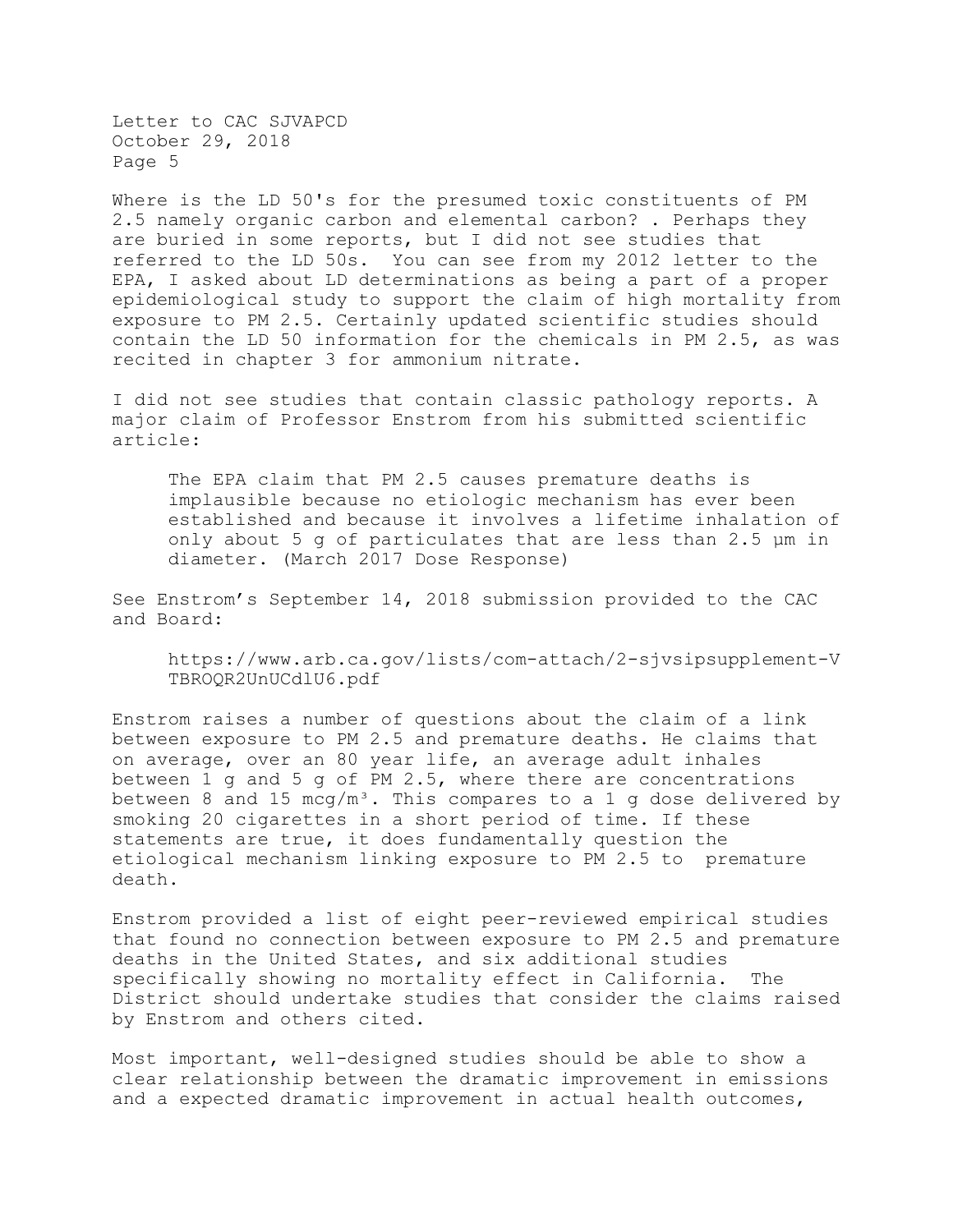Where is the LD 50's for the presumed toxic constituents of PM 2.5 namely organic carbon and elemental carbon? . Perhaps they are buried in some reports, but I did not see studies that referred to the LD 50s. You can see from my 2012 letter to the EPA, I asked about LD determinations as being a part of a proper epidemiological study to support the claim of high mortality from exposure to PM 2.5. Certainly updated scientific studies should contain the LD 50 information for the chemicals in PM 2.5, as was recited in chapter 3 for ammonium nitrate.

I did not see studies that contain classic pathology reports. A major claim of Professor Enstrom from his submitted scientific article:

The EPA claim that PM 2.5 causes premature deaths is implausible because no etiologic mechanism has ever been established and because it involves a lifetime inhalation of only about 5 g of particulates that are less than 2.5 µm in diameter. (March 2017 Dose Response)

See Enstrom's September 14, 2018 submission provided to the CAC and Board:

https://www.arb.ca.gov/lists/com-attach/2-sjvsipsupplement-V TBROQR2UnUCdlU6.pdf

Enstrom raises a number of questions about the claim of a link between exposure to PM 2.5 and premature deaths. He claims that on average, over an 80 year life, an average adult inhales between 1 g and 5 g of PM 2.5, where there are concentrations between 8 and 15 mcq/m<sup>3</sup>. This compares to a 1 g dose delivered by smoking 20 cigarettes in a short period of time. If these statements are true, it does fundamentally question the etiological mechanism linking exposure to PM 2.5 to premature death.

Enstrom provided a list of eight peer-reviewed empirical studies that found no connection between exposure to PM 2.5 and premature deaths in the United States, and six additional studies specifically showing no mortality effect in California. The District should undertake studies that consider the claims raised by Enstrom and others cited.

Most important, well-designed studies should be able to show a clear relationship between the dramatic improvement in emissions and a expected dramatic improvement in actual health outcomes,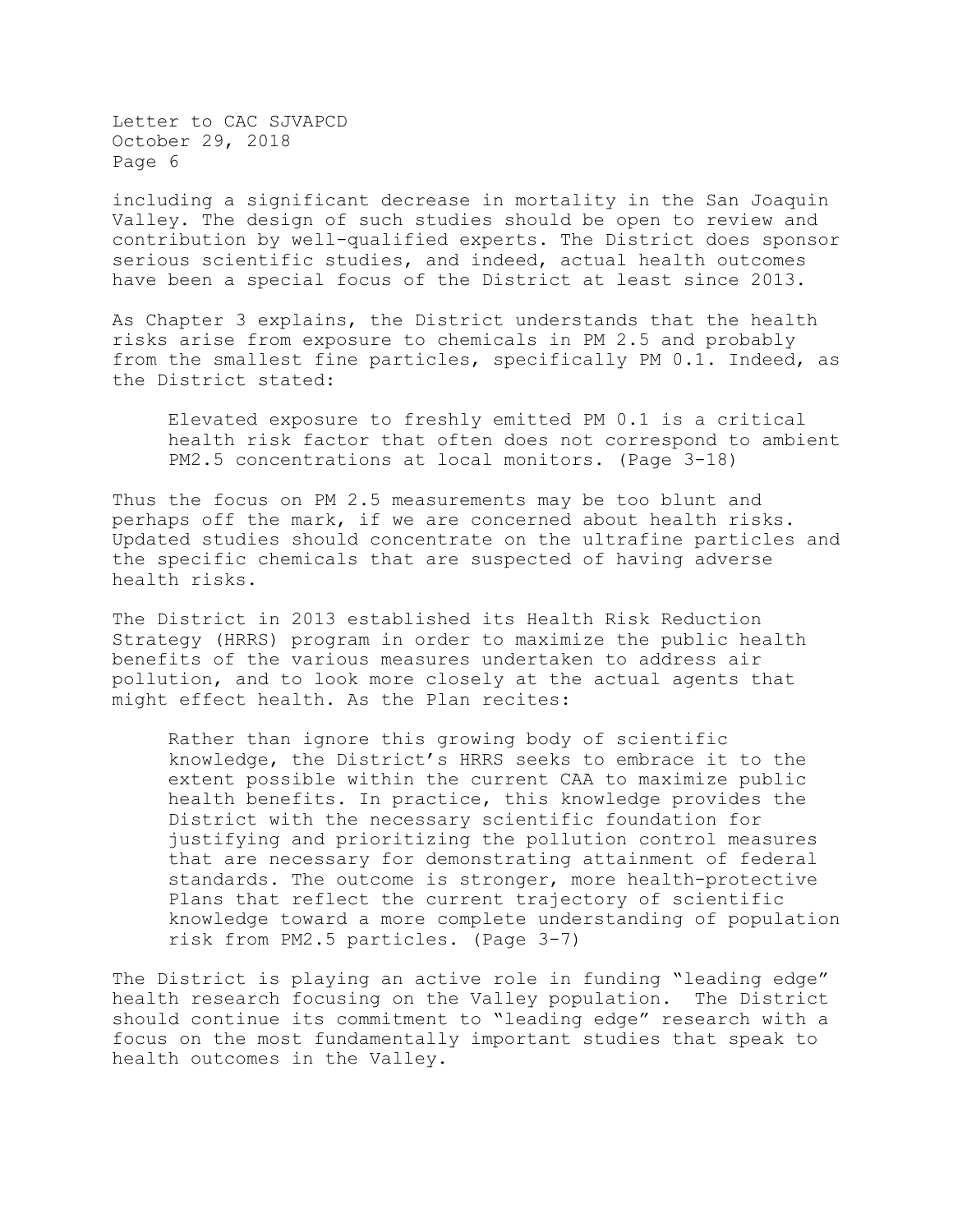including a significant decrease in mortality in the San Joaquin Valley. The design of such studies should be open to review and contribution by well-qualified experts. The District does sponsor serious scientific studies, and indeed, actual health outcomes have been a special focus of the District at least since 2013.

As Chapter 3 explains, the District understands that the health risks arise from exposure to chemicals in PM 2.5 and probably from the smallest fine particles, specifically PM 0.1. Indeed, as the District stated:

Elevated exposure to freshly emitted PM 0.1 is a critical health risk factor that often does not correspond to ambient PM2.5 concentrations at local monitors. (Page 3-18)

Thus the focus on PM 2.5 measurements may be too blunt and perhaps off the mark, if we are concerned about health risks. Updated studies should concentrate on the ultrafine particles and the specific chemicals that are suspected of having adverse health risks.

The District in 2013 established its Health Risk Reduction Strategy (HRRS) program in order to maximize the public health benefits of the various measures undertaken to address air pollution, and to look more closely at the actual agents that might effect health. As the Plan recites:

Rather than ignore this growing body of scientific knowledge, the District's HRRS seeks to embrace it to the extent possible within the current CAA to maximize public health benefits. In practice, this knowledge provides the District with the necessary scientific foundation for justifying and prioritizing the pollution control measures that are necessary for demonstrating attainment of federal standards. The outcome is stronger, more health-protective Plans that reflect the current trajectory of scientific knowledge toward a more complete understanding of population risk from PM2.5 particles. (Page 3-7)

The District is playing an active role in funding "leading edge" health research focusing on the Valley population. The District should continue its commitment to "leading edge" research with a focus on the most fundamentally important studies that speak to health outcomes in the Valley.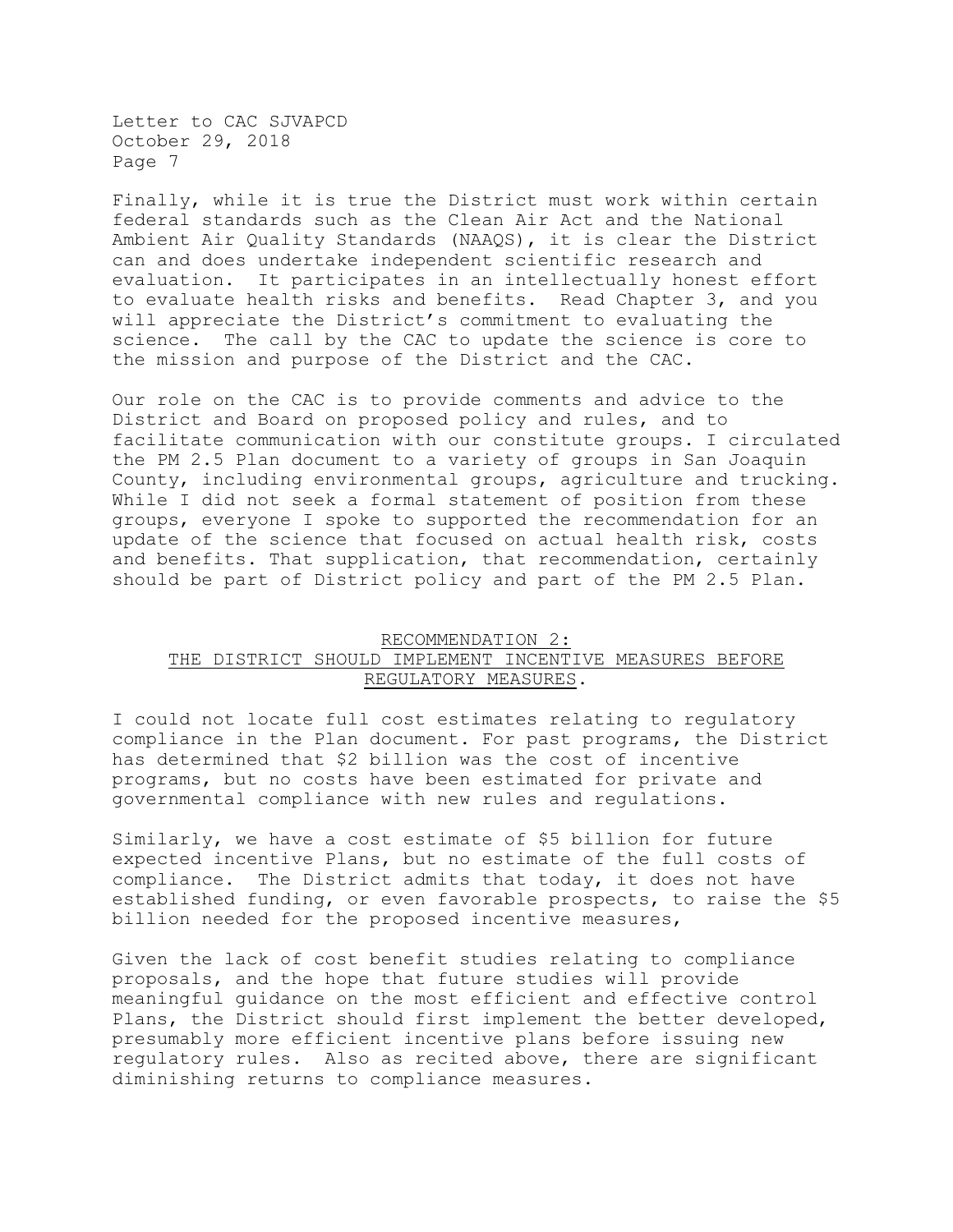Finally, while it is true the District must work within certain federal standards such as the Clean Air Act and the National Ambient Air Quality Standards (NAAQS), it is clear the District can and does undertake independent scientific research and evaluation. It participates in an intellectually honest effort to evaluate health risks and benefits. Read Chapter 3, and you will appreciate the District's commitment to evaluating the science. The call by the CAC to update the science is core to the mission and purpose of the District and the CAC.

Our role on the CAC is to provide comments and advice to the District and Board on proposed policy and rules, and to facilitate communication with our constitute groups. I circulated the PM 2.5 Plan document to a variety of groups in San Joaquin County, including environmental groups, agriculture and trucking. While I did not seek a formal statement of position from these groups, everyone I spoke to supported the recommendation for an update of the science that focused on actual health risk, costs and benefits. That supplication, that recommendation, certainly should be part of District policy and part of the PM 2.5 Plan.

### RECOMMENDATION 2:

## THE DISTRICT SHOULD IMPLEMENT INCENTIVE MEASURES BEFORE REGULATORY MEASURES.

I could not locate full cost estimates relating to regulatory compliance in the Plan document. For past programs, the District has determined that \$2 billion was the cost of incentive programs, but no costs have been estimated for private and governmental compliance with new rules and regulations.

Similarly, we have a cost estimate of \$5 billion for future expected incentive Plans, but no estimate of the full costs of compliance. The District admits that today, it does not have established funding, or even favorable prospects, to raise the \$5 billion needed for the proposed incentive measures,

Given the lack of cost benefit studies relating to compliance proposals, and the hope that future studies will provide meaningful guidance on the most efficient and effective control Plans, the District should first implement the better developed, presumably more efficient incentive plans before issuing new regulatory rules. Also as recited above, there are significant diminishing returns to compliance measures.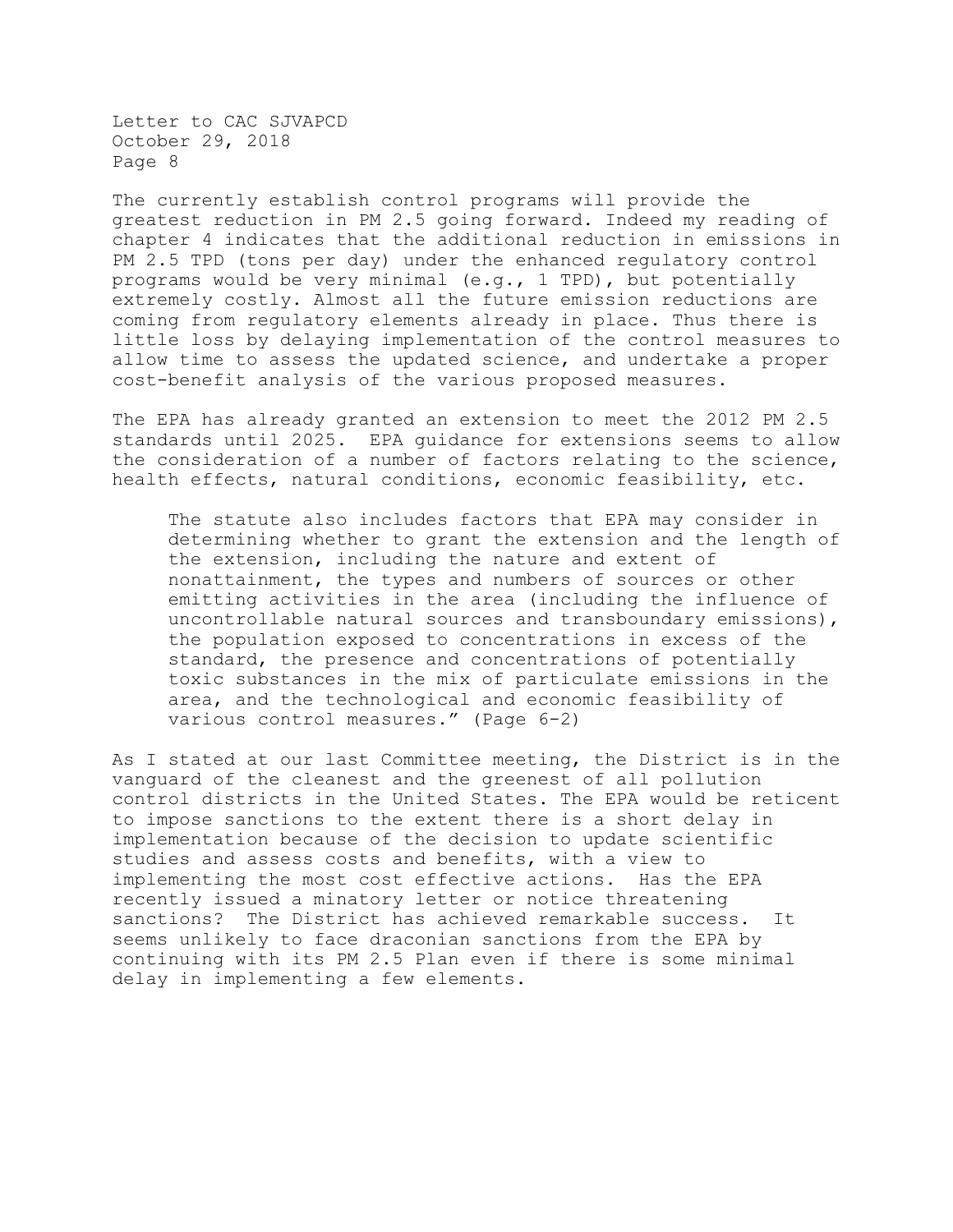The currently establish control programs will provide the greatest reduction in PM 2.5 going forward. Indeed my reading of chapter 4 indicates that the additional reduction in emissions in PM 2.5 TPD (tons per day) under the enhanced regulatory control programs would be very minimal (e.g., 1 TPD), but potentially extremely costly. Almost all the future emission reductions are coming from regulatory elements already in place. Thus there is little loss by delaying implementation of the control measures to allow time to assess the updated science, and undertake a proper cost-benefit analysis of the various proposed measures.

The EPA has already granted an extension to meet the 2012 PM 2.5 standards until 2025. EPA guidance for extensions seems to allow the consideration of a number of factors relating to the science, health effects, natural conditions, economic feasibility, etc.

The statute also includes factors that EPA may consider in determining whether to grant the extension and the length of the extension, including the nature and extent of nonattainment, the types and numbers of sources or other emitting activities in the area (including the influence of uncontrollable natural sources and transboundary emissions), the population exposed to concentrations in excess of the standard, the presence and concentrations of potentially toxic substances in the mix of particulate emissions in the area, and the technological and economic feasibility of various control measures." (Page 6-2)

As I stated at our last Committee meeting, the District is in the vanguard of the cleanest and the greenest of all pollution control districts in the United States. The EPA would be reticent to impose sanctions to the extent there is a short delay in implementation because of the decision to update scientific studies and assess costs and benefits, with a view to implementing the most cost effective actions. Has the EPA recently issued a minatory letter or notice threatening sanctions? The District has achieved remarkable success. It seems unlikely to face draconian sanctions from the EPA by continuing with its PM 2.5 Plan even if there is some minimal delay in implementing a few elements.